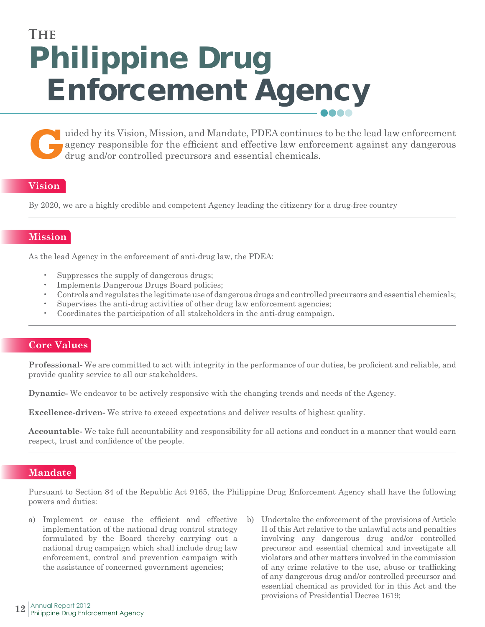# **Enforcement Agency Philippine Drug The**

uided by its Vision, Mission, and Mandate, PDEA continues to be the lead law enforcement against any dangerous drug and/or controlled precursors and essential chemicals. agency responsible for the efficient and effective law enforcement against any dangerous drug and/or controlled precursors and essential chemicals.

## **Vision**

By 2020, we are a highly credible and competent Agency leading the citizenry for a drug-free country

## **Mission**

As the lead Agency in the enforcement of anti-drug law, the PDEA:

- Suppresses the supply of dangerous drugs;
- Implements Dangerous Drugs Board policies;
- Controls and regulates the legitimate use of dangerous drugs and controlled precursors and essential chemicals;
- Supervises the anti-drug activities of other drug law enforcement agencies;
- Coordinates the participation of all stakeholders in the anti-drug campaign.

#### **Core Values**

**Professional-** We are committed to act with integrity in the performance of our duties, be proficient and reliable, and provide quality service to all our stakeholders.

**Dynamic-** We endeavor to be actively responsive with the changing trends and needs of the Agency.

**Excellence-driven-** We strive to exceed expectations and deliver results of highest quality.

**Accountable-** We take full accountability and responsibility for all actions and conduct in a manner that would earn respect, trust and confidence of the people.

#### **Mandate**

Pursuant to Section 84 of the Republic Act 9165, the Philippine Drug Enforcement Agency shall have the following powers and duties:

- a) Implement or cause the efficient and effective implementation of the national drug control strategy formulated by the Board thereby carrying out a national drug campaign which shall include drug law enforcement, control and prevention campaign with the assistance of concerned government agencies;
- b) Undertake the enforcement of the provisions of Article II of this Act relative to the unlawful acts and penalties involving any dangerous drug and/or controlled precursor and essential chemical and investigate all violators and other matters involved in the commission of any crime relative to the use, abuse or trafficking of any dangerous drug and/or controlled precursor and essential chemical as provided for in this Act and the provisions of Presidential Decree 1619;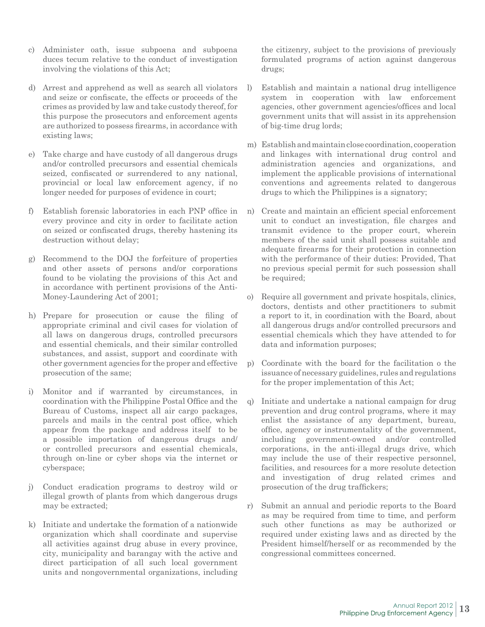- c) Administer oath, issue subpoena and subpoena duces tecum relative to the conduct of investigation involving the violations of this Act;
- d) Arrest and apprehend as well as search all violators and seize or confiscate, the effects or proceeds of the crimes as provided by law and take custody thereof, for this purpose the prosecutors and enforcement agents are authorized to possess firearms, in accordance with existing laws;
- e) Take charge and have custody of all dangerous drugs and/or controlled precursors and essential chemicals seized, confiscated or surrendered to any national, provincial or local law enforcement agency, if no longer needed for purposes of evidence in court;
- f) Establish forensic laboratories in each PNP office in every province and city in order to facilitate action on seized or confiscated drugs, thereby hastening its destruction without delay;
- g) Recommend to the DOJ the forfeiture of properties and other assets of persons and/or corporations found to be violating the provisions of this Act and in accordance with pertinent provisions of the Anti-Money-Laundering Act of 2001;
- h) Prepare for prosecution or cause the filing of appropriate criminal and civil cases for violation of all laws on dangerous drugs, controlled precursors and essential chemicals, and their similar controlled substances, and assist, support and coordinate with other government agencies for the proper and effective prosecution of the same;
- i) Monitor and if warranted by circumstances, in coordination with the Philippine Postal Office and the Bureau of Customs, inspect all air cargo packages, parcels and mails in the central post office, which appear from the package and address itself to be a possible importation of dangerous drugs and/ or controlled precursors and essential chemicals, through on-line or cyber shops via the internet or cyberspace;
- j) Conduct eradication programs to destroy wild or illegal growth of plants from which dangerous drugs may be extracted;
- k) Initiate and undertake the formation of a nationwide organization which shall coordinate and supervise all activities against drug abuse in every province, city, municipality and barangay with the active and direct participation of all such local government units and nongovernmental organizations, including

the citizenry, subject to the provisions of previously formulated programs of action against dangerous drugs;

- l) Establish and maintain a national drug intelligence system in cooperation with law enforcement agencies, other government agencies/offices and local government units that will assist in its apprehension of big-time drug lords;
- m) Establish and maintain close coordination, cooperation and linkages with international drug control and administration agencies and organizations, and implement the applicable provisions of international conventions and agreements related to dangerous drugs to which the Philippines is a signatory;
- n) Create and maintain an efficient special enforcement unit to conduct an investigation, file charges and transmit evidence to the proper court, wherein members of the said unit shall possess suitable and adequate firearms for their protection in connection with the performance of their duties: Provided, That no previous special permit for such possession shall be required;
- o) Require all government and private hospitals, clinics, doctors, dentists and other practitioners to submit a report to it, in coordination with the Board, about all dangerous drugs and/or controlled precursors and essential chemicals which they have attended to for data and information purposes;
- p) Coordinate with the board for the facilitation o the issuance of necessary guidelines, rules and regulations for the proper implementation of this Act;
- q) Initiate and undertake a national campaign for drug prevention and drug control programs, where it may enlist the assistance of any department, bureau, office, agency or instrumentality of the government, including government-owned and/or controlled corporations, in the anti-illegal drugs drive, which may include the use of their respective personnel, facilities, and resources for a more resolute detection and investigation of drug related crimes and prosecution of the drug traffickers;
- r) Submit an annual and periodic reports to the Board as may be required from time to time, and perform such other functions as may be authorized or required under existing laws and as directed by the President himself/herself or as recommended by the congressional committees concerned.